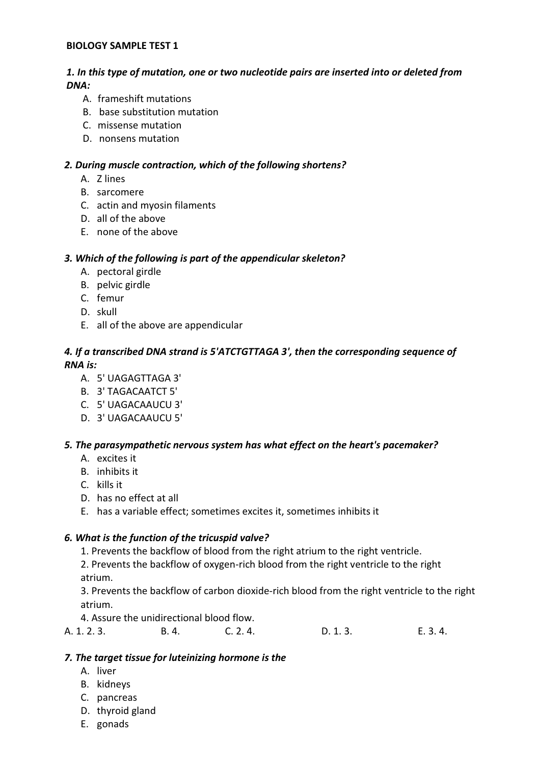#### BIOLOGY SAMPLE TEST 1

# 1. In this type of mutation, one or two nucleotide pairs are inserted into or deleted from DNA:

- A. frameshift mutations
- B. base substitution mutation
- C. missense mutation
- D. nonsens mutation

# 2. During muscle contraction, which of the following shortens?

- A. Z lines
- B. sarcomere
- C. actin and myosin filaments
- D. all of the above
- E. none of the above

# 3. Which of the following is part of the appendicular skeleton?

- A. pectoral girdle
- B. pelvic girdle
- C. femur
- D. skull
- E. all of the above are appendicular

# 4. If a transcribed DNA strand is 5'ATCTGTTAGA 3', then the corresponding sequence of RNA is:

- A. 5' UAGAGTTAGA 3'
- B. 3' TAGACAATCT 5'
- C. 5' UAGACAAUCU 3'
- D. 3' UAGACAAUCU 5'

# 5. The parasympathetic nervous system has what effect on the heart's pacemaker?

- A. excites it
- B. inhibits it
- C. kills it
- D. has no effect at all
- E. has a variable effect; sometimes excites it, sometimes inhibits it

# 6. What is the function of the tricuspid valve?

- 1. Prevents the backflow of blood from the right atrium to the right ventricle.
- 2. Prevents the backflow of oxygen-rich blood from the right ventricle to the right atrium.

3. Prevents the backflow of carbon dioxide-rich blood from the right ventricle to the right atrium.

4. Assure the unidirectional blood flow.

| A. 1. 2. 3. | B. 4. | C. 2.4. | D. 1.3. | E. 3. 4. |
|-------------|-------|---------|---------|----------|
|-------------|-------|---------|---------|----------|

# 7. The target tissue for luteinizing hormone is the

- A. liver
- B. kidneys
- C. pancreas
- D. thyroid gland
- E. gonads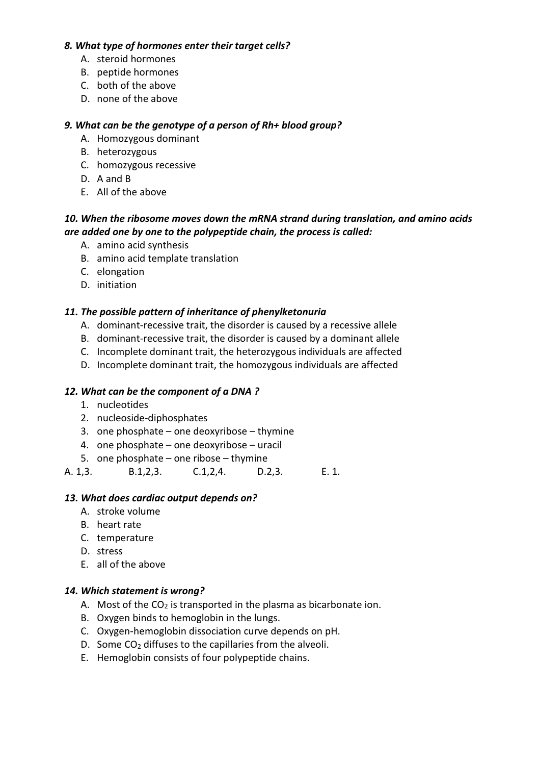#### 8. What type of hormones enter their target cells?

- A. steroid hormones
- B. peptide hormones
- C. both of the above
- D. none of the above

#### 9. What can be the genotype of a person of Rh+ blood group?

- A. Homozygous dominant
- B. heterozygous
- C. homozygous recessive
- D. A and B
- E. All of the above

# 10. When the ribosome moves down the mRNA strand during translation, and amino acids are added one by one to the polypeptide chain, the process is called:

- A. amino acid synthesis
- B. amino acid template translation
- C. elongation
- D. initiation

# 11. The possible pattern of inheritance of phenylketonuria

- A. dominant-recessive trait, the disorder is caused by a recessive allele
- B. dominant-recessive trait, the disorder is caused by a dominant allele
- C. Incomplete dominant trait, the heterozygous individuals are affected
- D. Incomplete dominant trait, the homozygous individuals are affected

#### 12. What can be the component of a DNA ?

- 1. nucleotides
- 2. nucleoside-diphosphates
- 3. one phosphate one deoxyribose thymine
- 4. one phosphate one deoxyribose uracil
- 5. one phosphate one ribose thymine
- A. 1,3. B.1,2,3. C.1,2,4. D.2,3. E. 1.

#### 13. What does cardiac output depends on?

- A. stroke volume
- B. heart rate
- C. temperature
- D. stress
- E. all of the above

#### 14. Which statement is wrong?

- A. Most of the  $CO<sub>2</sub>$  is transported in the plasma as bicarbonate ion.
- B. Oxygen binds to hemoglobin in the lungs.
- C. Oxygen-hemoglobin dissociation curve depends on pH.
- D. Some  $CO<sub>2</sub>$  diffuses to the capillaries from the alveoli.
- E. Hemoglobin consists of four polypeptide chains.